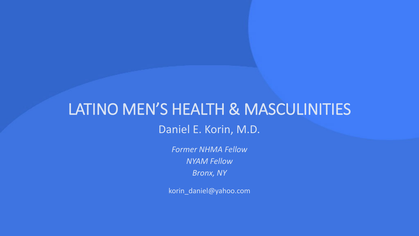# LATINO MEN'S HEALTH & MASCULINITIES Daniel E. Korin, M.D.

*Former NHMA Fellow NYAM Fellow Bronx, NY*

korin\_daniel@yahoo.com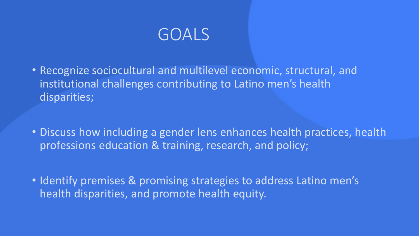

- Recognize sociocultural and multilevel economic, structural, and institutional challenges contributing to Latino men's health disparities;
- Discuss how including a gender lens enhances health practices, health professions education & training, research, and policy;
- Identify premises & promising strategies to address Latino men's health disparities, and promote health equity.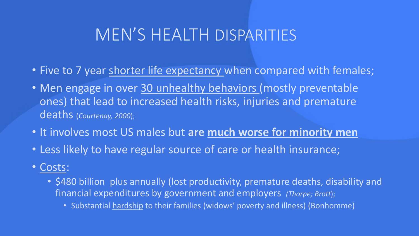# MEN'S HEALTH DISPARITIES

- Five to 7 year shorter life expectancy when compared with females;
- Men engage in over 30 unhealthy behaviors (mostly preventable ones) that lead to increased health risks, injuries and premature deaths (*Courtenay, 2000*);
- It involves most US males but **are much worse for minority men**
- Less likely to have regular source of care or health insurance;
- Costs:
	- \$480 billion plus annually (lost productivity, premature deaths, disability and financial expenditures by government and employers *(Thorpe; Brott*);
		- Substantial hardship to their families (widows' poverty and illness) (Bonhomme)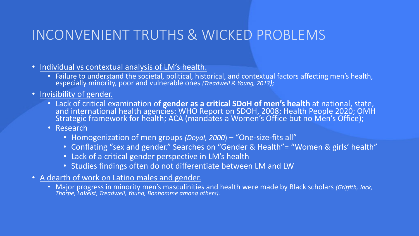# INCONVENIENT TRUTHS & WICKED PROBLEMS

- Individual vs contextual analysis of LM's health.
	- Failure to understand the societal, political, historical, and contextual factors affecting men's health, especially minority, poor and vulnerable ones (Treadwell & Young, 2013);
- Invisibility of gender.
	- Lack of critical examination of **gender as a critical SDoH of men's health** at national, state, and international health agencies: WHO Report on SDOH, 2008; Health People 2020; OMH Strategic framework for health; ACA (mandates a Women's Office but no Men's Office);
	- Research
		- Homogenization of men groups *(Doyal, 2000*) "One-size-fits all"
		- Conflating "sex and gender." Searches on "Gender & Health"= "Women & girls' health"
		- Lack of a critical gender perspective in LM's health
		- Studies findings often do not differentiate between LM and LW
- A dearth of work on Latino males and gender.
	- Major progress in minority men's masculinities and health were made by Black scholars *(Griffith, Jack, Thorpe, LaVeist, Treadwell, Young, Bonhomme among others).*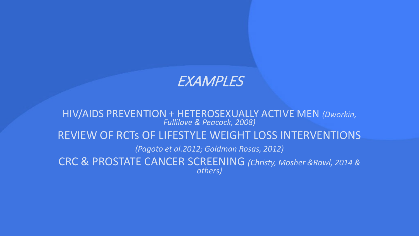### **EXAMPLES**

HIV/AIDS PREVENTION + HETEROSEXUALLY ACTIVE MEN *(Dworkin, Fullilove & Peacock, 2008)*

#### REVIEW OF RCTs OF LIFESTYLE WEIGHT LOSS INTERVENTIONS

*(Pagoto et al.2012; Goldman Rosas, 2012)*

CRC & PROSTATE CANCER SCREENING *(Christy, Mosher &Rawl, 2014 & others)*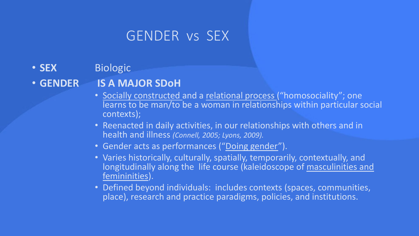## GENDER vs SEX

• **SEX** Biologic

### • **GENDER IS A MAJOR SDoH**

- Socially constructed and a relational process ("homosociality"; one learns to be man/to be a woman in relationships within particular social contexts);
- Reenacted in daily activities, in our relationships with others and in health and illness *(Connell, 2005; Lyons, 2009).*
- Gender acts as performances ("Doing gender").
- Varies historically, culturally, spatially, temporarily, contextually, and longitudinally along the life course (kaleidoscope of masculinities and femininities).
- Defined beyond individuals: includes contexts (spaces, communities, place), research and practice paradigms, policies, and institutions.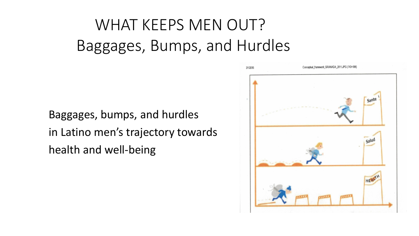# WHAT KEEPS MEN OUT? Baggages, Bumps, and Hurdles

Baggages, bumps, and hurdles in Latino men's trajectory towards health and well-being

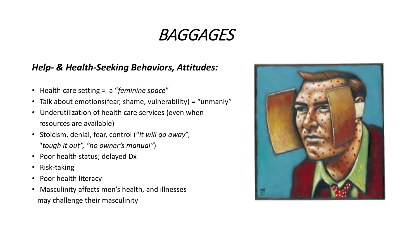# BAGGAGES

#### *Help- & Health-Seeking Behaviors, Attitudes:*

- Health care setting = a "*feminine space*"
- Talk about emotions(fear, shame, vulnerability) = "unmanly"
- Underutilization of health care services (even when resources are available)
- Stoicism, denial, fear, control ("*it will go away*", "*tough it out", "no owner's manual"*)
- Poor health status; delayed Dx
- Risk-taking
- Poor health literacy
- Masculinity affects men's health, and illnesses may challenge their masculinity

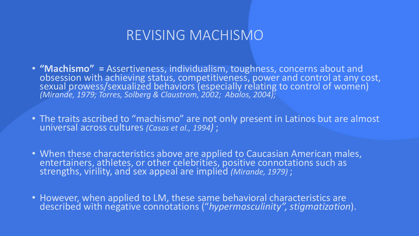### REVISING MACHISMO

- **"Machismo"** = Assertiveness, individualism, toughness, concerns about and obsession with achieving status, competitiveness, power and control at any cost, sexual prowess/sexualized behaviors (especially relating to control of women) *(Mirande, 1979; Torres, Solberg & Claustrom, 2002; Abalos, 2004);*
- The traits ascribed to "machismo" are not only present in Latinos but are almost universal across cultures *(Casas et al., 1994)* ;
- When these characteristics above are applied to Caucasian American males, entertainers, athletes, or other celebrities, positive connotations such as strengths, virility, and sex appeal are implied *(Mirande, 1979)* ;
- However, when applied to LM, these same behavioral characteristics are described with negative connotations ("*hypermasculinity", stigmatization*).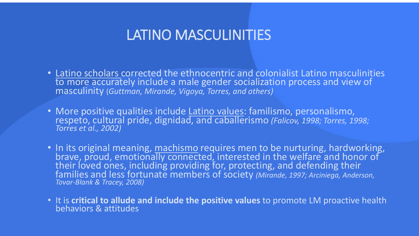### LATINO MASCULINITIES

- Latino scholars corrected the ethnocentric and colonialist Latino masculinities to more accurately include a male gender socialization process and view of masculinity (*Guttman, Mirande, Vigoya, Torres, and others)*
- More positive qualities include Latino values: familismo, personalismo, respeto, cultural pride, dignidad, and caballerismo *(Falicov, 1998; Torres, 1998; Torres et al., 2002)*
- In its original meaning, machismo requires men to be nurturing, hardworking, brave, proud, emotionally connected, interested in the welfare and honor of their loved ones, including providing for, protecting, and defending their families and less fortunate members of society *(Mirande, 1997; Arciniega, Anderson, Tovar-Blank & Tracey, 2008)*
- It is **critical to allude and include the positive values** to promote LM proactive health behaviors & attitudes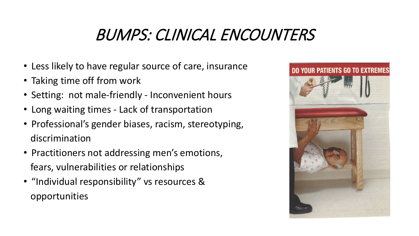# BUMPS: CLINICAL ENCOUNTERS

- Less likely to have regular source of care, insurance
- Taking time off from work
- Setting: not male-friendly Inconvenient hours
- Long waiting times Lack of transportation
- Professional's gender biases, racism, stereotyping, discrimination
- Practitioners not addressing men's emotions, fears, vulnerabilities or relationships
- "Individual responsibility" vs resources & opportunities

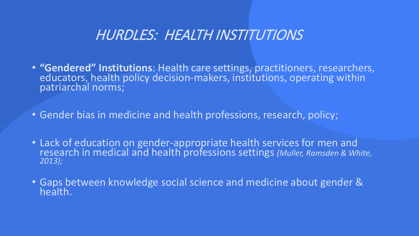## HURDLES: HEALTH INSTITUTIONS

- **"Gendered" Institutions**: Health care settings, practitioners, researchers, educators, health policy decision-makers, institutions, operating within patriarchal norms;
- Gender bias in medicine and health professions, research, policy;
- Lack of education on gender-appropriate health services for men and research in medical and health professions settings *(Muller, Ramsden & White, 2013);*
- Gaps between knowledge social science and medicine about gender & health.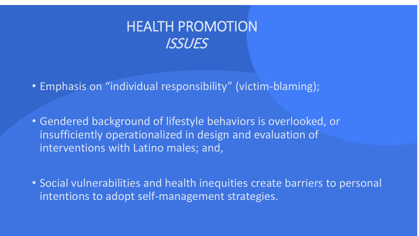

- Emphasis on "individual responsibility" (victim-blaming);
- Gendered background of lifestyle behaviors is overlooked, or insufficiently operationalized in design and evaluation of interventions with Latino males; and,
- Social vulnerabilities and health inequities create barriers to personal intentions to adopt self-management strategies.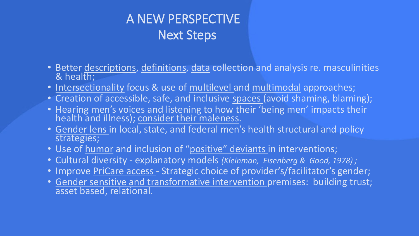# A NEW PERSPECTIVE Next Steps

- Better descriptions, definitions, data collection and analysis re. masculinities & health;
- Intersectionality focus & use of multilevel and multimodal approaches;
- Creation of accessible, safe, and inclusive spaces (avoid shaming, blaming);
- Hearing men's voices and listening to how their 'being men' impacts their health and illness); consider their maleness.
- Gender lens in local, state, and federal men's health structural and policy strategies;
- Use of humor and inclusion of "positive" deviants in interventions;
- Cultural diversity explanatory models *(Kleinman, Eisenberg & Good, 1978) ;*
- Improve PriCare access Strategic choice of provider's/facilitator's gender;
- Gender sensitive and transformative intervention premises: building trust;<br>asset based, relational.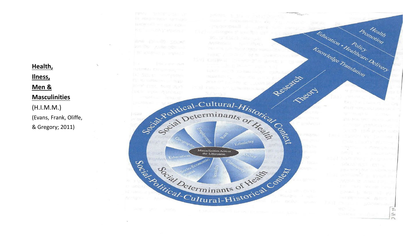#### **Health, Ilness ,**

**Men &**

#### **Masculinities**

(H.I.M.M.) (Evans, Frank, Oliffe , & Gregory; 2011)

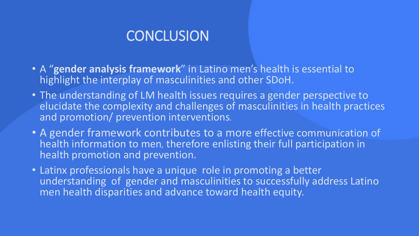## **CONCLUSION**

- A "**gender analysis framework**" in Latino men's health is essential to highlight the interplay of masculinities and other SDoH.
- The understanding of LM health issues requires a gender perspective to elucidate the complexity and challenges of masculinities in health practices and promotion/ prevention interventions*.*
- A gender framework contributes to a more effective communication of health information to men*,* therefore enlisting their full participation in health promotion and prevention.
- Latinx professionals have a unique role in promoting a better understanding of gender and masculinities to successfully address Latino men health disparities and advance toward health equity.